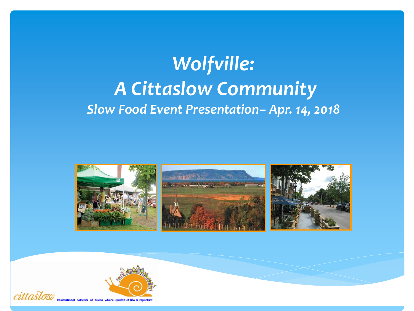# *Wolfville: A Cittaslow Community Slow Food Event Presentation– Apr. 14, 2018*



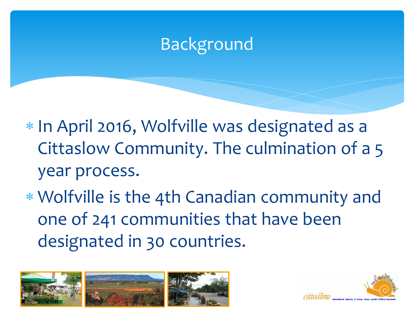## Background

\* In April 2016, Wolfville was designated as a Cittaslow Community. The culmination of a 5 year process.

 Wolfville is the 4th Canadian community and one of 241 communities that have been designated in 30 countries.



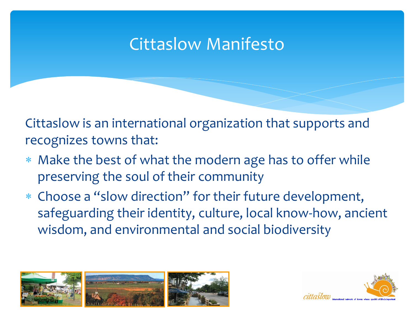### Cittaslow Manifesto

Cittaslow is an international organization that supports and recognizes towns that:

- Make the best of what the modern age has to offer while preserving the soul of their community
- Choose a "slow direction" for their future development, safeguarding their identity, culture, local know-how, ancient wisdom, and environmental and social biodiversity



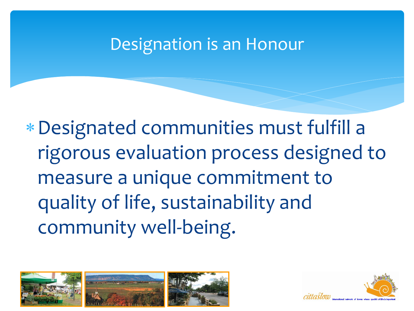#### Designation is an Honour

Designated communities must fulfill a rigorous evaluation process designed to measure a unique commitment to quality of life, sustainability and community well-being.



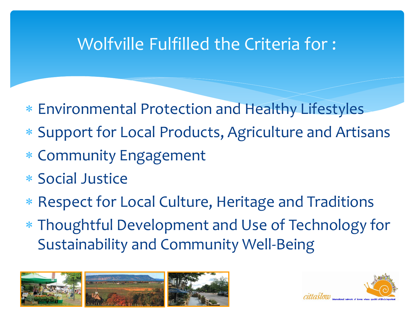### Wolfville Fulfilled the Criteria for :

- Environmental Protection and Healthy Lifestyles
- Support for Local Products, Agriculture and Artisans
- Community Engagement
- Social Justice
- Respect for Local Culture, Heritage and Traditions
- Thoughtful Development and Use of Technology for Sustainability and Community Well-Being



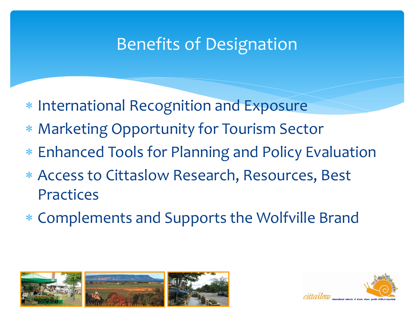### Benefits of Designation

- \* International Recognition and Exposure
- Marketing Opportunity for Tourism Sector
- Enhanced Tools for Planning and Policy Evaluation
- Access to Cittaslow Research, Resources, Best Practices
- Complements and Supports the Wolfville Brand



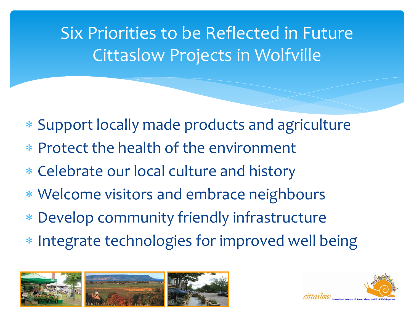## Six Priorities to be Reflected in Future Cittaslow Projects in Wolfville

- Support locally made products and agriculture
- Protect the health of the environment
- Celebrate our local culture and history
- Welcome visitors and embrace neighbours
- Develop community friendly infrastructure
- \* Integrate technologies for improved well being



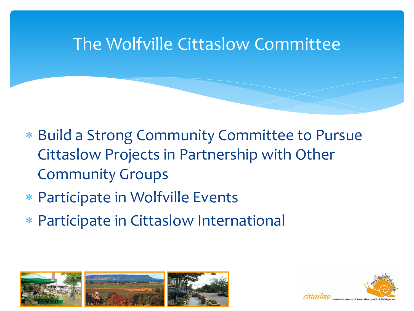#### The Wolfville Cittaslow Committee

- Build a Strong Community Committee to Pursue Cittaslow Projects in Partnership with Other Community Groups
- Participate in Wolfville Events
- Participate in Cittaslow International